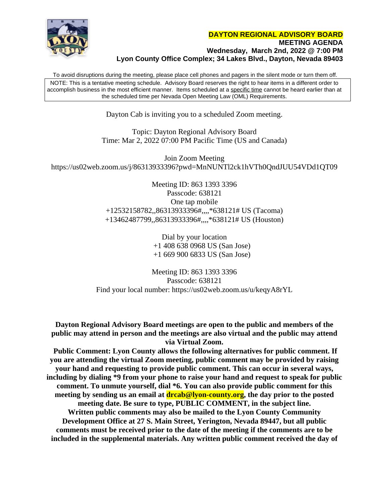

To avoid disruptions during the meeting, please place cell phones and pagers in the silent mode or turn them off. NOTE: This is a tentative meeting schedule. Advisory Board reserves the right to hear items in a different order to accomplish business in the most efficient manner. Items scheduled at a specific time cannot be heard earlier than at the scheduled time per Nevada Open Meeting Law (OML) Requirements.

Dayton Cab is inviting you to a scheduled Zoom meeting.

Topic: Dayton Regional Advisory Board Time: Mar 2, 2022 07:00 PM Pacific Time (US and Canada)

Join Zoom Meeting https://us02web.zoom.us/j/86313933396?pwd=MnNUNTl2ck1hVTh0QndJUU54VDd1QT09

> Meeting ID: 863 1393 3396 Passcode: 638121 One tap mobile +12532158782,,86313933396#,,,,\*638121# US (Tacoma) +13462487799,,86313933396#,,,,\*638121# US (Houston)

> > Dial by your location +1 408 638 0968 US (San Jose) +1 669 900 6833 US (San Jose)

Meeting ID: 863 1393 3396 Passcode: 638121 Find your local number: https://us02web.zoom.us/u/keqyA8rYL

**Dayton Regional Advisory Board meetings are open to the public and members of the public may attend in person and the meetings are also virtual and the public may attend via Virtual Zoom.**

 **Public Comment: Lyon County allows the following alternatives for public comment. If you are attending the virtual Zoom meeting, public comment may be provided by raising your hand and requesting to provide public comment. This can occur in several ways, including by dialing \*9 from your phone to raise your hand and request to speak for public comment. To unmute yourself, dial \*6. You can also provide public comment for this meeting by sending us an email at drcab@lyon-county.org, the day prior to the posted meeting date. Be sure to type, PUBLIC COMMENT, in the subject line. Written public comments may also be mailed to the Lyon County Community Development Office at 27 S. Main Street, Yerington, Nevada 89447, but all public comments must be received prior to the date of the meeting if the comments are to be included in the supplemental materials. Any written public comment received the day of**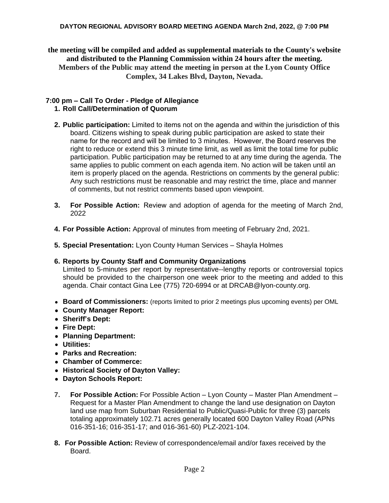## **DAYTON REGIONAL ADVISORY BOARD MEETING AGENDA March 2nd, 2022, @ 7:00 PM**

**the meeting will be compiled and added as supplemental materials to the County's website and distributed to the Planning Commission within 24 hours after the meeting. Members of the Public may attend the meeting in person at the Lyon County Office Complex, 34 Lakes Blvd, Dayton, Nevada.**

## **7:00 pm – Call To Order - Pledge of Allegiance 1. Roll Call/Determination of Quorum**

- **2. Public participation:** Limited to items not on the agenda and within the jurisdiction of this board. Citizens wishing to speak during public participation are asked to state their name for the record and will be limited to 3 minutes. However, the Board reserves the right to reduce or extend this 3 minute time limit, as well as limit the total time for public participation. Public participation may be returned to at any time during the agenda. The same applies to public comment on each agenda item. No action will be taken until an item is properly placed on the agenda. Restrictions on comments by the general public: Any such restrictions must be reasonable and may restrict the time, place and manner of comments, but not restrict comments based upon viewpoint.
- **3. For Possible Action:** Review and adoption of agenda for the meeting of March 2nd, 2022
- **4. For Possible Action:** Approval of minutes from meeting of February 2nd, 2021.
- **5. Special Presentation:** Lyon County Human Services Shayla Holmes

## **6. Reports by County Staff and Community Organizations**

Limited to 5-minutes per report by representative--lengthy reports or controversial topics should be provided to the chairperson one week prior to the meeting and added to this agenda. Chair contact Gina Lee (775) 720-6994 or at [DRCAB@lyon-county.org.](mailto:DRCAB@lyon-county.org)

- **Board of Commissioners:** (reports limited to prior 2 meetings plus upcoming events) per OML
- **County Manager Report:**
- **Sheriff's Dept:**
- **Fire Dept:**
- **Planning Department:**
- **Utilities:**
- **Parks and Recreation:**
- **Chamber of Commerce:**
- **Historical Society of Dayton Valley:**
- **Dayton Schools Report:**
- **7. For Possible Action:** For Possible Action Lyon County Master Plan Amendment Request for a Master Plan Amendment to change the land use designation on Dayton land use map from Suburban Residential to Public/Quasi-Public for three (3) parcels totaling approximately 102.71 acres generally located 600 Dayton Valley Road (APNs 016-351-16; 016-351-17; and 016-361-60) PLZ-2021-104.
- **8. For Possible Action:** Review of correspondence/email and/or faxes received by the Board.